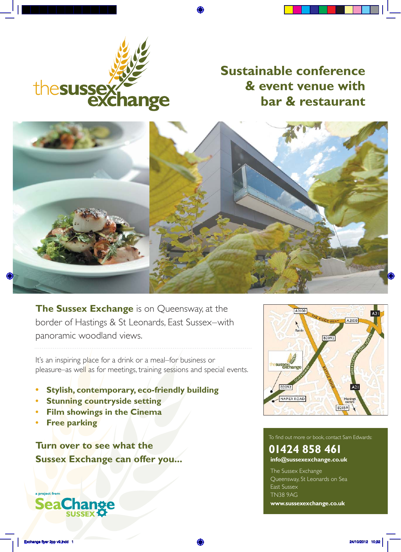

### **Sustainable conference & event venue with bar & restaurant**



**The Sussex Exchange** is on Queensway, at the border of Hastings & St Leonards, East Sussex–with panoramic woodland views.

It's an inspiring place for a drink or a meal–for business or pleasure–as well as for meetings, training sessions and special events.

- **• Stylish, contemporary, eco-friendly building**
- **• Stunning countryside setting**
- **• Film showings in the Cinema**
- **• Free parking**

**Turn over to see what the Sussex Exchange can offer you...**



### To find out more or book, contact Sam Edwards:

#### **01424 858 461 info@sussexexchange.co.uk**

The Sussex Exchange Queensway, St Leonards on Sea East Sussex TN38 9AG

**www.sussexexchange.co.uk**